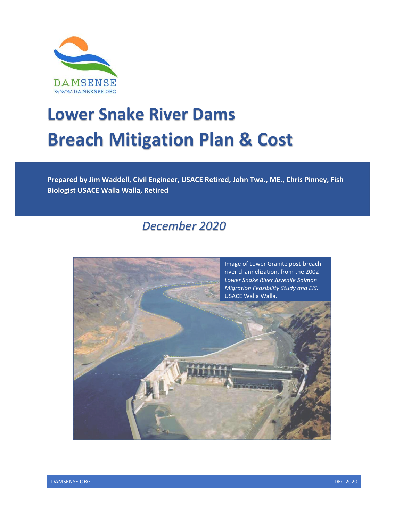

# **Lower Snake River Dams Breach Mitigation Plan & Cost**

**Prepared by Jim Waddell, Civil Engineer, USACE Retired, John Twa., ME., Chris Pinney, Fish Biologist USACE Walla Walla, Retired**

# *December 2020*



DAMSENSE.ORG DEC 2020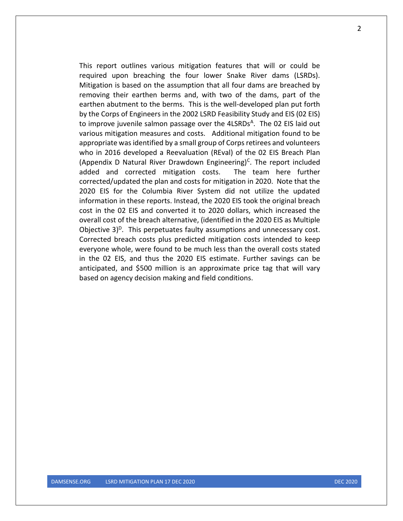This report outlines various mitigation features that will or could be required upon breaching the four lower Snake River dams (LSRDs). Mitigation is based on the assumption that all four dams are breached by removing their earthen berms and, with two of the dams, part of the earthen abutment to the berms. This is the well-developed plan put forth by the Corps of Engineers in the 2002 LSRD Feasibility Study and EIS (02 EIS) to improve juvenile salmon passage over the 4LSRDs<sup>A</sup>. The 02 EIS laid out various mitigation measures and costs. Additional mitigation found to be appropriate was identified by a small group of Corps retirees and volunteers who in 2016 developed a Reevaluation (REval) of the 02 EIS Breach Plan (Appendix D Natural River Drawdown Engineering)<sup>c</sup>. The report included added and corrected mitigation costs. The team here further corrected/updated the plan and costs for mitigation in 2020. Note that the 2020 EIS for the Columbia River System did not utilize the updated information in these reports. Instead, the 2020 EIS took the original breach cost in the 02 EIS and converted it to 2020 dollars, which increased the overall cost of the breach alternative, (identified in the 2020 EIS as Multiple Objective 3)<sup>D</sup>. This perpetuates faulty assumptions and unnecessary cost. Corrected breach costs plus predicted mitigation costs intended to keep everyone whole, were found to be much less than the overall costs stated in the 02 EIS, and thus the 2020 EIS estimate. Further savings can be anticipated, and \$500 million is an approximate price tag that will vary based on agency decision making and field conditions.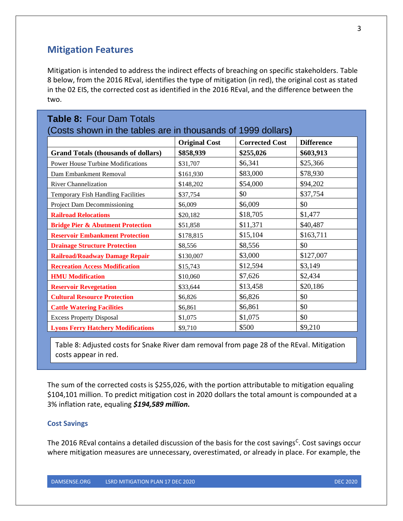## **Mitigation Features**

Mitigation is intended to address the indirect effects of breaching on specific stakeholders. Table 8 below, from the 2016 REval, identifies the type of mitigation (in red), the original cost as stated in the 02 EIS, the corrected cost as identified in the 2016 REval, and the difference between the two.

| <b>Table 8: Four Dam Totals</b><br>(Costs shown in the tables are in thousands of 1999 dollars) |                      |                       |                   |  |  |  |
|-------------------------------------------------------------------------------------------------|----------------------|-----------------------|-------------------|--|--|--|
|                                                                                                 | <b>Original Cost</b> | <b>Corrected Cost</b> | <b>Difference</b> |  |  |  |
| <b>Grand Totals (thousands of dollars)</b>                                                      | \$858,939            | \$255,026             | \$603,913         |  |  |  |
| <b>Power House Turbine Modifications</b>                                                        | \$31,707             | \$6,341               | \$25,366          |  |  |  |
| Dam Embankment Removal                                                                          | \$161,930            | \$83,000              | \$78,930          |  |  |  |
| <b>River Channelization</b>                                                                     | \$148,202            | \$54,000              | \$94,202          |  |  |  |
| Temporary Fish Handling Facilities                                                              | \$37,754             | \$0                   | \$37,754          |  |  |  |
| Project Dam Decommissioning                                                                     | \$6,009              | \$6,009               | \$0               |  |  |  |
| <b>Railroad Relocations</b>                                                                     | \$20,182             | \$18,705              | \$1,477           |  |  |  |
| <b>Bridge Pier &amp; Abutment Protection</b>                                                    | \$51,858             | \$11,371              | \$40,487          |  |  |  |
| <b>Reservoir Embankment Protection</b>                                                          | \$178,815            | \$15,104              | \$163,711         |  |  |  |
| <b>Drainage Structure Protection</b>                                                            | \$8,556              | \$8,556               | \$0               |  |  |  |
| <b>Railroad/Roadway Damage Repair</b>                                                           | \$130,007            | \$3,000               | \$127,007         |  |  |  |
| <b>Recreation Access Modification</b>                                                           | \$15,743             | \$12,594              | \$3,149           |  |  |  |
| <b>HMU</b> Modification                                                                         | \$10,060             | \$7,626               | \$2,434           |  |  |  |
| <b>Reservoir Revegetation</b>                                                                   | \$33,644             | \$13,458              | \$20,186          |  |  |  |
| <b>Cultural Resource Protection</b>                                                             | \$6,826              | \$6,826               | \$0               |  |  |  |
| <b>Cattle Watering Facilities</b>                                                               | \$6,861              | \$6,861               | \$0               |  |  |  |
| <b>Excess Property Disposal</b>                                                                 | \$1,075              | \$1,075               | \$0               |  |  |  |
| <b>Lyons Ferry Hatchery Modifications</b>                                                       | \$9,710              | \$500                 | \$9,210           |  |  |  |

Table 8: Adjusted costs for Snake River dam removal from page 28 of the REval. Mitigation costs appear in red.

The sum of the corrected costs is \$255,026, with the portion attributable to mitigation equaling \$104,101 million. To predict mitigation cost in 2020 dollars the total amount is compounded at a 3% inflation rate, equaling *\$194,589 million.* 

#### **Cost Savings**

The 2016 REval contains a detailed discussion of the basis for the cost savings<sup>c</sup>. Cost savings occur where mitigation measures are unnecessary, overestimated, or already in place. For example, the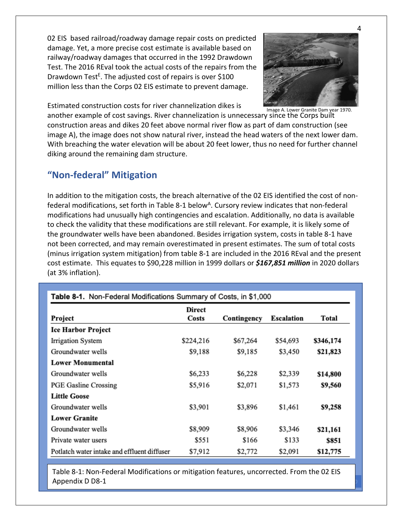02 EIS based railroad/roadway damage repair costs on predicted damage. Yet, a more precise cost estimate is available based on railway/roadway damages that occurred in the 1992 Drawdown Test. The 2016 REval took the actual costs of the repairs from the Drawdown Test<sup>E</sup>. The adjusted cost of repairs is over \$100 million less than the Corps 02 EIS estimate to prevent damage.



Estimated construction costs for river channelization dikes is

Image A. Lower Granite Dam year 1970.

another example of cost savings. River channelization is unnecessary since the Corps built construction areas and dikes 20 feet above normal river flow as part of dam construction (see image A), the image does not show natural river, instead the head waters of the next lower dam. With breaching the water elevation will be about 20 feet lower, thus no need for further channel diking around the remaining dam structure.

# **"Non-federal" Mitigation**

In addition to the mitigation costs, the breach alternative of the 02 EIS identified the cost of nonfederal modifications, set forth in Table 8-1 below<sup>A</sup>. Cursory review indicates that non-federal modifications had unusually high contingencies and escalation. Additionally, no data is available to check the validity that these modifications are still relevant. For example, it is likely some of the groundwater wells have been abandoned. Besides irrigation system, costs in table 8-1 have not been corrected, and may remain overestimated in present estimates. The sum of total costs (minus irrigation system mitigation) from table 8-1 are included in the 2016 REval and the present cost estimate. This equates to \$90,228 million in 1999 dollars or *\$167,851 million* in 2020 dollars (at 3% inflation).

| Table 8-1. Non-Federal Modifications Summary of Costs, in \$1,000 |                 |             |            |           |  |  |
|-------------------------------------------------------------------|-----------------|-------------|------------|-----------|--|--|
| Project                                                           | Direct<br>Costs | Contingency | Escalation | Total     |  |  |
| <b>Ice Harbor Project</b>                                         |                 |             |            |           |  |  |
| <b>Irrigation System</b>                                          | \$224,216       | \$67,264    | \$54,693   | \$346,174 |  |  |
| Groundwater wells                                                 | \$9,188         | \$9,185     | \$3,450    | \$21,823  |  |  |
| <b>Lower Monumental</b>                                           |                 |             |            |           |  |  |
| Groundwater wells                                                 | \$6,233         | \$6,228     | \$2,339    | \$14,800  |  |  |
| <b>PGE Gasline Crossing</b>                                       | \$5,916         | \$2,071     | \$1,573    | \$9,560   |  |  |
| <b>Little Goose</b>                                               |                 |             |            |           |  |  |
| Groundwater wells                                                 | \$3,901         | \$3,896     | \$1,461    | \$9,258   |  |  |
| <b>Lower Granite</b>                                              |                 |             |            |           |  |  |
| Groundwater wells                                                 | \$8,909         | \$8,906     | \$3,346    | \$21,161  |  |  |
| Private water users                                               | \$551           | \$166       | \$133      | \$851     |  |  |
| Potlatch water intake and effluent diffuser                       | \$7,912         | \$2,772     | \$2,091    | \$12,775  |  |  |

**DECIMITION PLAN 17 DECIMITION PLAN 17 DECIMITION PLAN 17 DECIMITION PLAN 17 DECIMITION PLAN 17 DECIMITION PLAN 17 DECIMITION PLAN 17 DECIMITION PLAN 17 DECIMITION PLAN 17 DECIMITION PLAN 17 DECIMITION PLAN 17 DECIMITION P** Table 8-1: Non-Federal Modifications or mitigation features, uncorrected. From the 02 EIS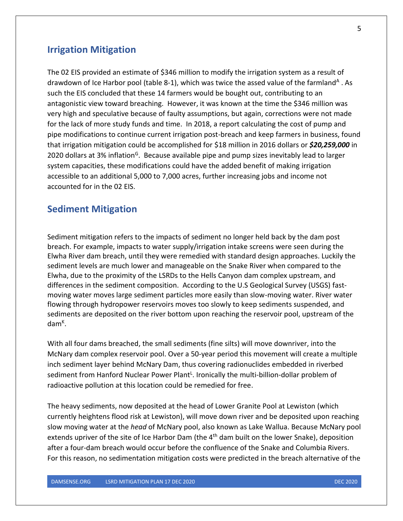### **Irrigation Mitigation**

The 02 EIS provided an estimate of \$346 million to modify the irrigation system as a result of drawdown of Ice Harbor pool (table 8-1), which was twice the assed value of the farmland<sup>A</sup>. As such the EIS concluded that these 14 farmers would be bought out, contributing to an antagonistic view toward breaching. However, it was known at the time the \$346 million was very high and speculative because of faulty assumptions, but again, corrections were not made for the lack of more study funds and time. In 2018, a report calculating the cost of pump and pipe modifications to continue current irrigation post-breach and keep farmers in business, found that irrigation mitigation could be accomplished for \$18 million in 2016 dollars or *\$20,259,000* in 2020 dollars at 3% inflation<sup>G</sup>. Because available pipe and pump sizes inevitably lead to larger system capacities, these modifications could have the added benefit of making irrigation accessible to an additional 5,000 to 7,000 acres, further increasing jobs and income not accounted for in the 02 EIS.

#### **Sediment Mitigation**

Sediment mitigation refers to the impacts of sediment no longer held back by the dam post breach. For example, impacts to water supply/irrigation intake screens were seen during the Elwha River dam breach, until they were remedied with standard design approaches. Luckily the sediment levels are much lower and manageable on the Snake River when compared to the Elwha, due to the proximity of the LSRDs to the Hells Canyon dam complex upstream, and differences in the sediment composition. According to the U.S Geological Survey (USGS) fastmoving water moves large sediment particles more easily than slow-moving water. River water flowing through hydropower reservoirs moves too slowly to keep sediments suspended, and sediments are deposited on the river bottom upon reaching the reservoir pool, upstream of the dam<sup>ĸ</sup>.

With all four dams breached, the small sediments (fine silts) will move downriver, into the McNary dam complex reservoir pool. Over a 50-year period this movement will create a multiple inch sediment layer behind McNary Dam, thus covering radionuclides embedded in riverbed sediment from Hanford Nuclear Power Plant<sup>L</sup>. Ironically the multi-billion-dollar problem of radioactive pollution at this location could be remedied for free.

The heavy sediments, now deposited at the head of Lower Granite Pool at Lewiston (which currently heightens flood risk at Lewiston), will move down river and be deposited upon reaching slow moving water at the *head* of McNary pool, also known as Lake Wallua. Because McNary pool extends upriver of the site of Ice Harbor Dam (the  $4<sup>th</sup>$  dam built on the lower Snake), deposition after a four-dam breach would occur before the confluence of the Snake and Columbia Rivers. For this reason, no sedimentation mitigation costs were predicted in the breach alternative of the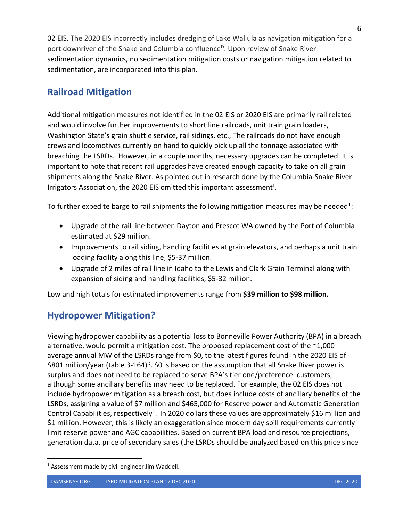02 EIS. The 2020 EIS incorrectly includes dredging of Lake Wallula as navigation mitigation for a port downriver of the Snake and Columbia confluence<sup>D</sup>. Upon review of Snake River sedimentation dynamics, no sedimentation mitigation costs or navigation mitigation related to sedimentation, are incorporated into this plan.

# **Railroad Mitigation**

Additional mitigation measures not identified in the 02 EIS or 2020 EIS are primarily rail related and would involve further improvements to short line railroads, unit train grain loaders, Washington State's grain shuttle service, rail sidings, etc., The railroads do not have enough crews and locomotives currently on hand to quickly pick up all the tonnage associated with breaching the LSRDs. However, in a couple months, necessary upgrades can be completed. It is important to note that recent rail upgrades have created enough capacity to take on all grain shipments along the Snake River. As pointed out in research done by the Columbia-Snake River Irrigators Association, the 2020 EIS omitted this important assessment<sup>J</sup>.

To further expedite barge to rail shipments the following mitigation measures may be needed<sup>1</sup>:

- Upgrade of the rail line between Dayton and Prescot WA owned by the Port of Columbia estimated at \$29 million.
- Improvements to rail siding, handling facilities at grain elevators, and perhaps a unit train loading facility along this line, \$5-37 million.
- Upgrade of 2 miles of rail line in Idaho to the Lewis and Clark Grain Terminal along with expansion of siding and handling facilities, \$5-32 million.

Low and high totals for estimated improvements range from **\$39 million to \$98 million.**

# **Hydropower Mitigation?**

Viewing hydropower capability as a potential loss to Bonneville Power Authority (BPA) in a breach alternative, would permit a mitigation cost. The proposed replacement cost of the  $\sim$ 1,000 average annual MW of the LSRDs range from \$0, to the latest figures found in the 2020 EIS of \$801 million/year (table 3-164)<sup>D</sup>. \$0 is based on the assumption that all Snake River power is surplus and does not need to be replaced to serve BPA's tier one/preference customers, although some ancillary benefits may need to be replaced. For example, the 02 EIS does not include hydropower mitigation as a breach cost, but does include costs of ancillary benefits of the LSRDs, assigning a value of \$7 million and \$465,000 for Reserve power and Automatic Generation Control Capabilities, respectively<sup>1</sup>. In 2020 dollars these values are approximately \$16 million and \$1 million. However, this is likely an exaggeration since modern day spill requirements currently limit reserve power and AGC capabilities. Based on current BPA load and resource projections, generation data, price of secondary sales (the LSRDs should be analyzed based on this price since

 $1$  Assessment made by civil engineer Jim Waddell.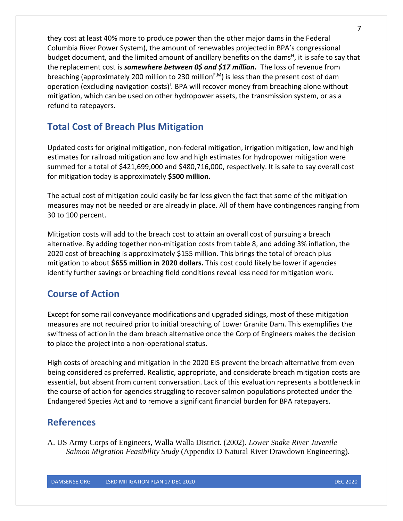they cost at least 40% more to produce power than the other major dams in the Federal Columbia River Power System), the amount of renewables projected in BPA's congressional budget document, and the limited amount of ancillary benefits on the dams<sup>H</sup>, it is safe to say that the replacement cost is *somewhere between 0\$ and \$17 million.* The loss of revenue from breaching (approximately 200 million to 230 million $F$ <sup> $,M$ </sup>) is less than the present cost of dam operation (excluding navigation costs)<sup>1</sup>. BPA will recover money from breaching alone without mitigation, which can be used on other hydropower assets, the transmission system, or as a refund to ratepayers.

# **Total Cost of Breach Plus Mitigation**

Updated costs for original mitigation, non-federal mitigation, irrigation mitigation, low and high estimates for railroad mitigation and low and high estimates for hydropower mitigation were summed for a total of \$421,699,000 and \$480,716,000, respectively. It is safe to say overall cost for mitigation today is approximately **\$500 million.**

The actual cost of mitigation could easily be far less given the fact that some of the mitigation measures may not be needed or are already in place. All of them have contingences ranging from 30 to 100 percent.

Mitigation costs will add to the breach cost to attain an overall cost of pursuing a breach alternative. By adding together non-mitigation costs from table 8, and adding 3% inflation, the 2020 cost of breaching is approximately \$155 million. This brings the total of breach plus mitigation to about **\$655 million in 2020 dollars.** This cost could likely be lower if agencies identify further savings or breaching field conditions reveal less need for mitigation work.

# **Course of Action**

Except for some rail conveyance modifications and upgraded sidings, most of these mitigation measures are not required prior to initial breaching of Lower Granite Dam. This exemplifies the swiftness of action in the dam breach alternative once the Corp of Engineers makes the decision to place the project into a non-operational status.

High costs of breaching and mitigation in the 2020 EIS prevent the breach alternative from even being considered as preferred. Realistic, appropriate, and considerate breach mitigation costs are essential, but absent from current conversation. Lack of this evaluation represents a bottleneck in the course of action for agencies struggling to recover salmon populations protected under the Endangered Species Act and to remove a significant financial burden for BPA ratepayers.

# **References**

A. US Army Corps of Engineers, Walla Walla District. (2002). *Lower Snake River Juvenile Salmon Migration Feasibility Study* (Appendix D Natural River Drawdown Engineering).